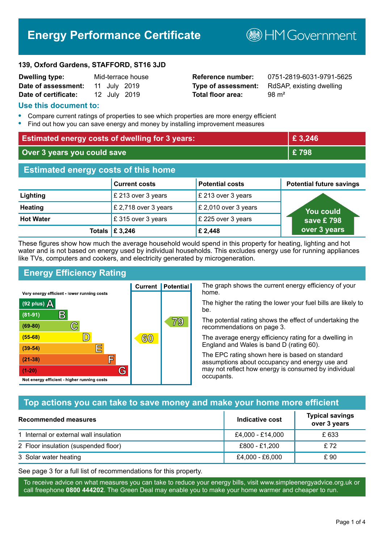# **Energy Performance Certificate**

**B**HM Government

#### **139, Oxford Gardens, STAFFORD, ST16 3JD**

| <b>Dwelling type:</b> |  | Mid-terrace house |
|-----------------------|--|-------------------|
| Date of assessment:   |  | 11 July 2019      |
| Date of certificate:  |  | 12 July 2019      |

# **Total floor area:** 98 m<sup>2</sup>

**Reference number:** 0751-2819-6031-9791-5625 **Type of assessment:** RdSAP, existing dwelling

### **Use this document to:**

- **•** Compare current ratings of properties to see which properties are more energy efficient
- **•** Find out how you can save energy and money by installing improvement measures

| <b>Estimated energy costs of dwelling for 3 years:</b> |                           |                        | £ 3,246                         |  |
|--------------------------------------------------------|---------------------------|------------------------|---------------------------------|--|
| Over 3 years you could save                            |                           | £798                   |                                 |  |
| <b>Estimated energy costs of this home</b>             |                           |                        |                                 |  |
|                                                        | <b>Current costs</b>      | <b>Potential costs</b> | <b>Potential future savings</b> |  |
| Lighting                                               | £ 213 over 3 years        | £ 213 over 3 years     |                                 |  |
| <b>Heating</b>                                         | £ 2,718 over 3 years      | £ 2,010 over 3 years   | <u>Yo</u> u could               |  |
| <b>Hot Water</b>                                       | £315 over 3 years         | £ 225 over 3 years     | save £798                       |  |
|                                                        | Totals $\mathsf{E}$ 3,246 | £ 2,448                | over 3 years                    |  |

These figures show how much the average household would spend in this property for heating, lighting and hot water and is not based on energy used by individual households. This excludes energy use for running appliances like TVs, computers and cookers, and electricity generated by microgeneration.

**Current | Potential** 

 $60$ 

# **Energy Efficiency Rating**

 $\mathbb{C}$ 

 $\mathbb{D}$ 

E

F

G

Very energy efficient - lower running costs

 $\mathsf{R}% _{T}$ 

Not energy efficient - higher running costs

(92 plus)  $\Delta$ 

 $(81 - 91)$ 

 $(69 - 80)$ 

 $(55-68)$ 

 $(39 - 54)$  $(21-38)$ 

 $(1-20)$ 

The graph shows the current energy efficiency of your home.

The higher the rating the lower your fuel bills are likely to be.

The potential rating shows the effect of undertaking the recommendations on page 3.

The average energy efficiency rating for a dwelling in England and Wales is band D (rating 60).

The EPC rating shown here is based on standard assumptions about occupancy and energy use and may not reflect how energy is consumed by individual occupants.

# **Top actions you can take to save money and make your home more efficient**

79

| Recommended measures                   | Indicative cost  | <b>Typical savings</b><br>over 3 years |
|----------------------------------------|------------------|----------------------------------------|
| 1 Internal or external wall insulation | £4,000 - £14,000 | £ 633                                  |
| 2 Floor insulation (suspended floor)   | £800 - £1,200    | £72                                    |
| 3 Solar water heating                  | £4,000 - £6,000  | £ 90                                   |

See page 3 for a full list of recommendations for this property.

To receive advice on what measures you can take to reduce your energy bills, visit www.simpleenergyadvice.org.uk or call freephone **0800 444202**. The Green Deal may enable you to make your home warmer and cheaper to run.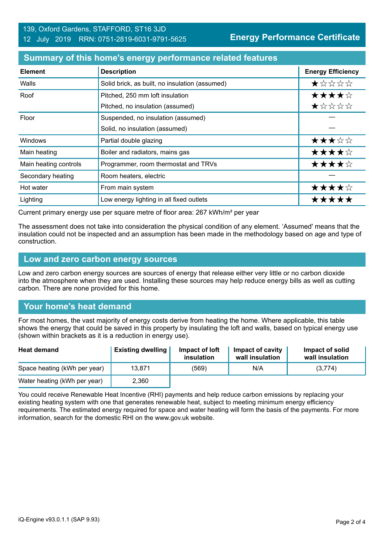#### **Summary of this home's energy performance related features**

| <b>Element</b>        | <b>Description</b>                             | <b>Energy Efficiency</b> |
|-----------------------|------------------------------------------------|--------------------------|
| Walls                 | Solid brick, as built, no insulation (assumed) | ★☆☆☆☆                    |
| Roof                  | Pitched, 250 mm loft insulation                | ★★★★☆                    |
|                       | Pitched, no insulation (assumed)               | ★☆☆☆☆                    |
| Floor                 | Suspended, no insulation (assumed)             |                          |
|                       | Solid, no insulation (assumed)                 |                          |
| Windows               | Partial double glazing                         | ★★★☆☆                    |
| Main heating          | Boiler and radiators, mains gas                | ★★★★☆                    |
| Main heating controls | Programmer, room thermostat and TRVs           | ★★★★☆                    |
| Secondary heating     | Room heaters, electric                         |                          |
| Hot water             | From main system                               | ★★★★☆                    |
| Lighting              | Low energy lighting in all fixed outlets       | *****                    |

Current primary energy use per square metre of floor area: 267 kWh/m² per year

The assessment does not take into consideration the physical condition of any element. 'Assumed' means that the insulation could not be inspected and an assumption has been made in the methodology based on age and type of construction.

#### **Low and zero carbon energy sources**

Low and zero carbon energy sources are sources of energy that release either very little or no carbon dioxide into the atmosphere when they are used. Installing these sources may help reduce energy bills as well as cutting carbon. There are none provided for this home.

# **Your home's heat demand**

For most homes, the vast majority of energy costs derive from heating the home. Where applicable, this table shows the energy that could be saved in this property by insulating the loft and walls, based on typical energy use (shown within brackets as it is a reduction in energy use).

| <b>Heat demand</b>           | <b>Existing dwelling</b> | Impact of loft<br>insulation | Impact of cavity<br>wall insulation | Impact of solid<br>wall insulation |
|------------------------------|--------------------------|------------------------------|-------------------------------------|------------------------------------|
| Space heating (kWh per year) | 13.871                   | (569)                        | N/A                                 | (3,774)                            |
| Water heating (kWh per year) | 2,360                    |                              |                                     |                                    |

You could receive Renewable Heat Incentive (RHI) payments and help reduce carbon emissions by replacing your existing heating system with one that generates renewable heat, subject to meeting minimum energy efficiency requirements. The estimated energy required for space and water heating will form the basis of the payments. For more information, search for the domestic RHI on the www.gov.uk website.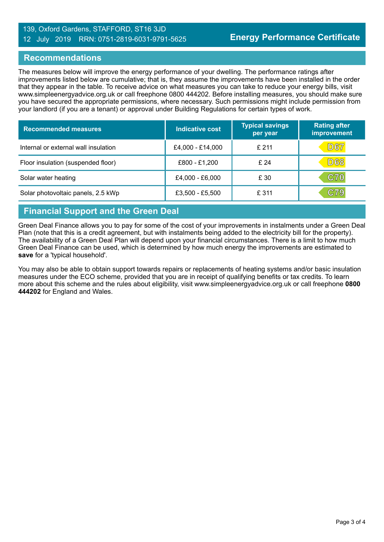#### 139, Oxford Gardens, STAFFORD, ST16 3JD 12 July 2019 RRN: 0751-2819-6031-9791-5625

### **Recommendations**

The measures below will improve the energy performance of your dwelling. The performance ratings after improvements listed below are cumulative; that is, they assume the improvements have been installed in the order that they appear in the table. To receive advice on what measures you can take to reduce your energy bills, visit www.simpleenergyadvice.org.uk or call freephone 0800 444202. Before installing measures, you should make sure you have secured the appropriate permissions, where necessary. Such permissions might include permission from your landlord (if you are a tenant) or approval under Building Regulations for certain types of work.

| <b>Recommended measures</b>          | <b>Indicative cost</b> | <b>Typical savings</b><br>per year | <b>Rating after</b><br>improvement |
|--------------------------------------|------------------------|------------------------------------|------------------------------------|
| Internal or external wall insulation | £4,000 - £14,000       | £211                               | <b>D67</b>                         |
| Floor insulation (suspended floor)   | £800 - £1,200          | £24                                | <b>D68</b>                         |
| Solar water heating                  | £4,000 - £6,000        | £ 30                               | C70                                |
| Solar photovoltaic panels, 2.5 kWp   | £3,500 - £5,500        | £ 311                              | $\mathbb C79$                      |

# **Financial Support and the Green Deal**

Green Deal Finance allows you to pay for some of the cost of your improvements in instalments under a Green Deal Plan (note that this is a credit agreement, but with instalments being added to the electricity bill for the property). The availability of a Green Deal Plan will depend upon your financial circumstances. There is a limit to how much Green Deal Finance can be used, which is determined by how much energy the improvements are estimated to **save** for a 'typical household'.

You may also be able to obtain support towards repairs or replacements of heating systems and/or basic insulation measures under the ECO scheme, provided that you are in receipt of qualifying benefits or tax credits. To learn more about this scheme and the rules about eligibility, visit www.simpleenergyadvice.org.uk or call freephone **0800 444202** for England and Wales.